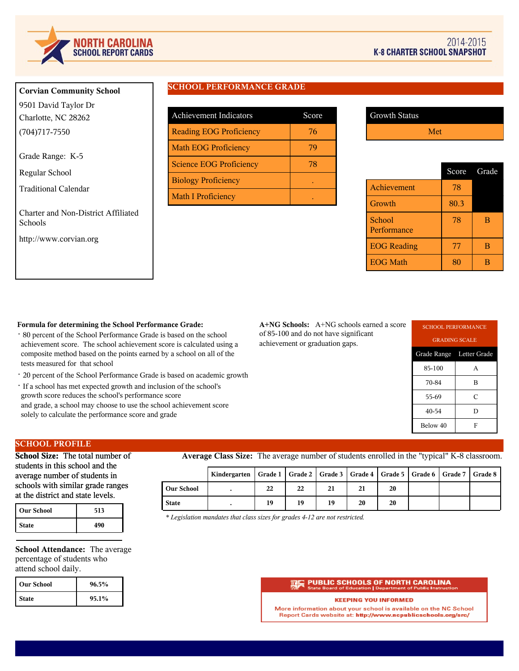

# **Corvian Community School**

9501 David Taylor Dr Charlotte, NC 28262 (704)717-7550

Grade Range: K-5

Regular School

Traditional Calendar

Charter and Non-District Affiliated Schools

http://www.corvian.org

# **SCHOOL PERFORMANCE GRADE**

| <b>Achievement Indicators</b>  | Score |
|--------------------------------|-------|
| <b>Reading EOG Proficiency</b> | 76    |
| <b>Math EOG Proficiency</b>    | 79    |
| <b>Science EOG Proficiency</b> | 78    |
| <b>Biology Proficiency</b>     |       |
| <b>Math I Proficiency</b>      |       |

| <b>Growth Status</b> |     |
|----------------------|-----|
|                      | Met |

|                       | Score | Grade |
|-----------------------|-------|-------|
| Achievement           | 78    |       |
| Growth                | 80.3  |       |
| School<br>Performance | 78    | в     |
| <b>EOG</b> Reading    | 77    | в     |
| <b>EOG Math</b>       | xι    |       |

### **Formula for determining the School Performance Grade:**

- · 80 percent of the School Performance Grade is based on the school achievement score. The school achievement score is calculated using a composite method based on the points earned by a school on all of the tests measured for that school
- · 20 percent of the School Performance Grade is based on academic growth
- · If a school has met expected growth and inclusion of the school's growth score reduces the school's performance score and grade, a school may choose to use the school achievement score solely to calculate the performance score and grade

**A+NG Schools:** A+NG schools earned a score of 85-100 and do not have significant achievement or graduation gaps.

| <b>SCHOOL PERFORMANCE</b> |   |  |  |  |
|---------------------------|---|--|--|--|
| <b>GRADING SCALE</b>      |   |  |  |  |
| Grade Range Letter Grade  |   |  |  |  |
| 85-100                    | A |  |  |  |
| 70-84                     | в |  |  |  |
| 55-69                     | C |  |  |  |
| 40-54                     | D |  |  |  |
| Below 40<br>F             |   |  |  |  |

# **SCHOOL PROFILE**

**School Size:** The total number of students in this school and the average number of students in schools with similar grade ranges at the district and state levels.

| <b>Our School</b> | 513 |
|-------------------|-----|
| <b>State</b>      | 490 |

**School Attendance:** The average percentage of students who attend school daily.

| l Our School | 96.5% |
|--------------|-------|
| <b>State</b> | 95.1% |

**Average Class Size:** The average number of students enrolled in the "typical" K-8 classroom.

|                   | Kindergarten   Grade 1   Grade 2   Grade 3   Grade 4   Grade 5   Grade 6   Grade 7   Grade 8 |    |    |    |    |    |  |  |
|-------------------|----------------------------------------------------------------------------------------------|----|----|----|----|----|--|--|
| <b>Our School</b> |                                                                                              | 22 | 22 | 21 | 21 | 20 |  |  |
| <b>State</b>      |                                                                                              | 19 | 19 | 19 | 20 | 20 |  |  |

*\* Legislation mandates that class sizes for grades 4-12 are not restricted.*

#### **PUBLIC SCHOOLS OF NORTH CAROLINA**<br>State Board of Education | Department of Public Instructi on | Depart

#### **KEEPING YOU INFORMED**

More information about your school is available on the NC School Report Cards website at: http://www.ncpublicschools.org/src/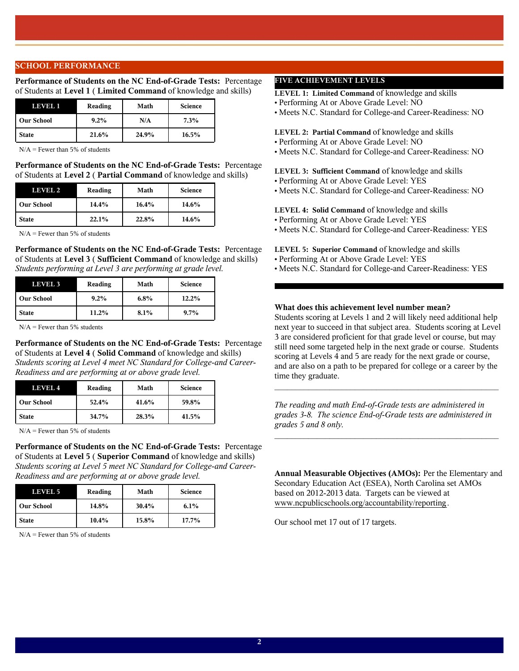## **SCHOOL PERFORMANCE**

**Performance of Students on the NC End-of-Grade Tests:** Percentage of Students at **Level 1** ( **Limited Command** of knowledge and skills)

| LEVEL 1           | Reading | Math  | <b>Science</b> |
|-------------------|---------|-------|----------------|
| <b>Our School</b> | $9.2\%$ | N/A   | 7.3%           |
| <b>State</b>      | 21.6%   | 24.9% | 16.5%          |

 $N/A$  = Fewer than 5% of students

**Performance of Students on the NC End-of-Grade Tests:** Percentage of Students at **Level 2** ( **Partial Command** of knowledge and skills)

| LEVEL 2           | Reading | Math  | <b>Science</b> |
|-------------------|---------|-------|----------------|
| <b>Our School</b> | 14.4%   | 16.4% | 14.6%          |
| <b>State</b>      | 22.1%   | 22.8% | 14.6%          |

 $N/A$  = Fewer than 5% of students

**Performance of Students on the NC End-of-Grade Tests:** Percentage of Students at **Level 3** ( **Sufficient Command** of knowledge and skills) *Students performing at Level 3 are performing at grade level.*

| <b>LEVEL 3</b>    | Reading | Math | <b>Science</b> |
|-------------------|---------|------|----------------|
| <b>Our School</b> | $9.2\%$ | 6.8% | 12.2%          |
| <b>State</b>      | 11.2%   | 8.1% | $9.7\%$        |

 $N/A$  = Fewer than 5% students

**Performance of Students on the NC End-of-Grade Tests:** Percentage of Students at **Level 4** ( **Solid Command** of knowledge and skills) *Students scoring at Level 4 meet NC Standard for College-and Career-Readiness and are performing at or above grade level.*

| LEVEL 4           | Reading | Math  | <b>Science</b> |
|-------------------|---------|-------|----------------|
| <b>Our School</b> | 52.4%   | 41.6% | 59.8%          |
| <b>State</b>      | 34.7%   | 28.3% | 41.5%          |

 $N/A$  = Fewer than 5% of students

**Performance of Students on the NC End-of-Grade Tests:** Percentage of Students at **Level 5** ( **Superior Command** of knowledge and skills) *Students scoring at Level 5 meet NC Standard for College-and Career-Readiness and are performing at or above grade level.*

| LEVEL 5           | Reading  | Math  | <b>Science</b> |
|-------------------|----------|-------|----------------|
| <b>Our School</b> | 14.8%    | 30.4% | 6.1%           |
| <b>State</b>      | $10.4\%$ | 15.8% | 17.7%          |

 $N/A$  = Fewer than 5% of students

# **FIVE ACHIEVEMENT LEVELS**

**LEVEL 1: Limited Command** of knowledge and skills

- Performing At or Above Grade Level: NO
- Meets N.C. Standard for College-and Career-Readiness: NO

#### **LEVEL 2: Partial Command** of knowledge and skills

- Performing At or Above Grade Level: NO
- Meets N.C. Standard for College-and Career-Readiness: NO

**LEVEL 3: Sufficient Command** of knowledge and skills

- Performing At or Above Grade Level: YES
- Meets N.C. Standard for College-and Career-Readiness: NO

### **LEVEL 4: Solid Command** of knowledge and skills

- Performing At or Above Grade Level: YES
- Meets N.C. Standard for College-and Career-Readiness: YES
- **LEVEL 5: Superior Command** of knowledge and skills
- Performing At or Above Grade Level: YES
- Meets N.C. Standard for College-and Career-Readiness: YES

# **What does this achievement level number mean?**

Students scoring at Levels 1 and 2 will likely need additional help next year to succeed in that subject area. Students scoring at Level 3 are considered proficient for that grade level or course, but may still need some targeted help in the next grade or course. Students scoring at Levels 4 and 5 are ready for the next grade or course, and are also on a path to be prepared for college or a career by the time they graduate.

*The reading and math End-of-Grade tests are administered in grades 3-8. The science End-of-Grade tests are administered in grades 5 and 8 only.*

 $\mathcal{L}_\text{max}$  and  $\mathcal{L}_\text{max}$  and  $\mathcal{L}_\text{max}$  and  $\mathcal{L}_\text{max}$  and  $\mathcal{L}_\text{max}$ 

 $\mathcal{L}_\text{max}$  and the contract of the contract of the contract of the contract of the contract of the contract of the contract of the contract of the contract of the contract of the contract of the contract of the contrac

**Annual Measurable Objectives (AMOs):** Per the Elementary and Secondary Education Act (ESEA), North Carolina set AMOs based on 2012-2013 data. Targets can be viewed at www.ncpublicschools.org/accountability/reporting.

Our school met 17 out of 17 targets.